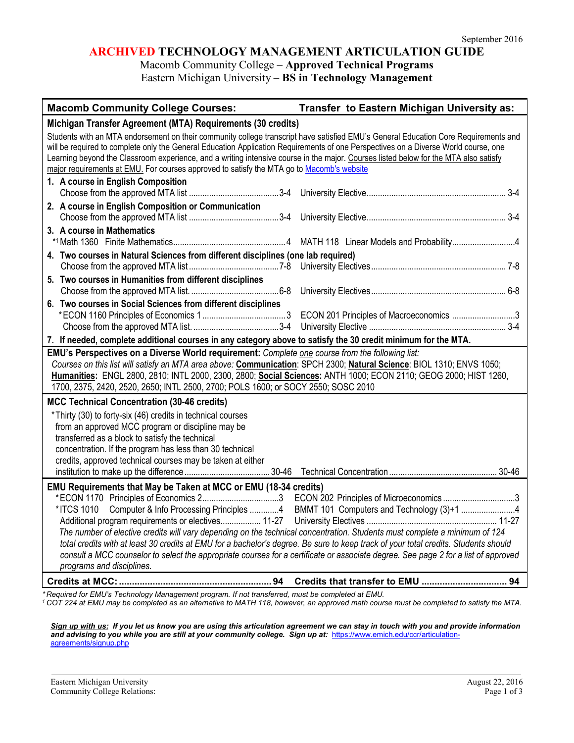## **ARCHIVED TECHNOLOGY MANAGEMENT ARTICULATION GUIDE**

Macomb Community College – **Approved Technical Programs** Eastern Michigan University – **BS in Technology Management**

| <b>Macomb Community College Courses:</b>                                                                                                                                                                                                                                                                                                                                                                                                                                                                                                                                                   | Transfer to Eastern Michigan University as: |  |
|--------------------------------------------------------------------------------------------------------------------------------------------------------------------------------------------------------------------------------------------------------------------------------------------------------------------------------------------------------------------------------------------------------------------------------------------------------------------------------------------------------------------------------------------------------------------------------------------|---------------------------------------------|--|
| Michigan Transfer Agreement (MTA) Requirements (30 credits)                                                                                                                                                                                                                                                                                                                                                                                                                                                                                                                                |                                             |  |
| Students with an MTA endorsement on their community college transcript have satisfied EMU's General Education Core Requirements and<br>will be required to complete only the General Education Application Requirements of one Perspectives on a Diverse World course, one<br>Learning beyond the Classroom experience, and a writing intensive course in the major. Courses listed below for the MTA also satisfy<br>major requirements at EMU. For courses approved to satisfy the MTA go to Macomb's website                                                                            |                                             |  |
| 1. A course in English Composition                                                                                                                                                                                                                                                                                                                                                                                                                                                                                                                                                         |                                             |  |
| 2. A course in English Composition or Communication                                                                                                                                                                                                                                                                                                                                                                                                                                                                                                                                        |                                             |  |
| 3. A course in Mathematics                                                                                                                                                                                                                                                                                                                                                                                                                                                                                                                                                                 |                                             |  |
| 4. Two courses in Natural Sciences from different disciplines (one lab required)                                                                                                                                                                                                                                                                                                                                                                                                                                                                                                           |                                             |  |
|                                                                                                                                                                                                                                                                                                                                                                                                                                                                                                                                                                                            |                                             |  |
| 5. Two courses in Humanities from different disciplines                                                                                                                                                                                                                                                                                                                                                                                                                                                                                                                                    |                                             |  |
| 6. Two courses in Social Sciences from different disciplines                                                                                                                                                                                                                                                                                                                                                                                                                                                                                                                               |                                             |  |
|                                                                                                                                                                                                                                                                                                                                                                                                                                                                                                                                                                                            |                                             |  |
| 7. If needed, complete additional courses in any category above to satisfy the 30 credit minimum for the MTA.<br>EMU's Perspectives on a Diverse World requirement: Complete one course from the following list:                                                                                                                                                                                                                                                                                                                                                                           |                                             |  |
| Courses on this list will satisfy an MTA area above: Communication: SPCH 2300; Natural Science: BIOL 1310; ENVS 1050;<br>Humanities: ENGL 2800, 2810; INTL 2000, 2300, 2800; Social Sciences: ANTH 1000; ECON 2110; GEOG 2000; HIST 1260,<br>1700, 2375, 2420, 2520, 2650; INTL 2500, 2700; POLS 1600; or SOCY 2550; SOSC 2010                                                                                                                                                                                                                                                             |                                             |  |
| <b>MCC Technical Concentration (30-46 credits)</b>                                                                                                                                                                                                                                                                                                                                                                                                                                                                                                                                         |                                             |  |
| *Thirty (30) to forty-six (46) credits in technical courses<br>from an approved MCC program or discipline may be<br>transferred as a block to satisfy the technical<br>concentration. If the program has less than 30 technical<br>credits, approved technical courses may be taken at either                                                                                                                                                                                                                                                                                              |                                             |  |
| EMU Requirements that May be Taken at MCC or EMU (18-34 credits)                                                                                                                                                                                                                                                                                                                                                                                                                                                                                                                           |                                             |  |
| *ITCS 1010 Computer & Info Processing Principles 4 BMMT 101 Computers and Technology (3)+1 4<br>Additional program requirements or electives 11-27<br>The number of elective credits will vary depending on the technical concentration. Students must complete a minimum of 124<br>total credits with at least 30 credits at EMU for a bachelor's degree. Be sure to keep track of your total credits. Students should<br>consult a MCC counselor to select the appropriate courses for a certificate or associate degree. See page 2 for a list of approved<br>programs and disciplines. |                                             |  |
|                                                                                                                                                                                                                                                                                                                                                                                                                                                                                                                                                                                            |                                             |  |

*\* Required for EMU's Technology Management program. If not transferred, must be completed at EMU.*

*<sup>1</sup> COT 224 at EMU may be completed as an alternative to MATH 118, however, an approved math course must be completed to satisfy the MTA.*

*Sign up with us: If you let us know you are using this articulation agreement we can stay in touch with you and provide information*  and advising to you while you are still at your community college. Sign up at: [https://www.emich.edu/ccr/articulation](https://www.emich.edu/ccr/articulation-agreements/signup.php)[agreements/signup.php](https://www.emich.edu/ccr/articulation-agreements/signup.php)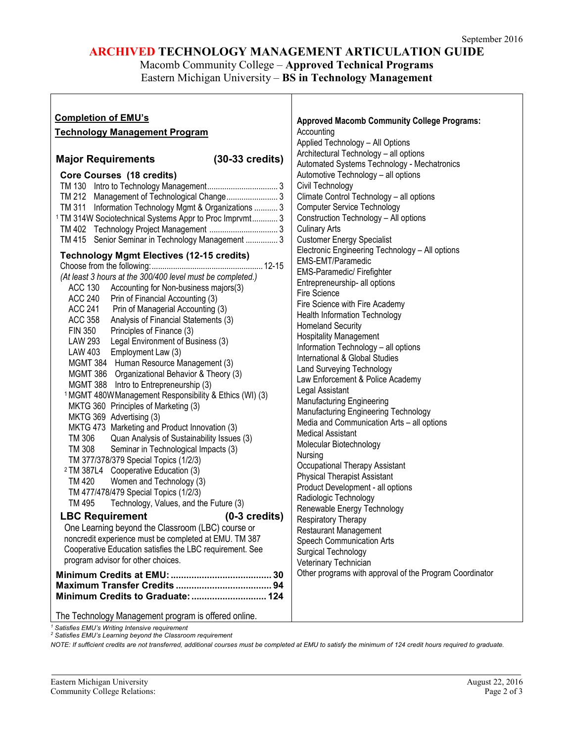# **ARCHIVED TECHNOLOGY MANAGEMENT ARTICULATION GUIDE**

# Macomb Community College – **Approved Technical Programs** Eastern Michigan University – **BS in Technology Management**

| <b>Completion of EMU's</b>                                         | <b>Approved Macomb Community College Programs:</b>      |
|--------------------------------------------------------------------|---------------------------------------------------------|
| <b>Technology Management Program</b>                               | Accounting                                              |
|                                                                    | Applied Technology - All Options                        |
|                                                                    | Architectural Technology - all options                  |
| $(30-33 \text{ credits})$<br><b>Major Requirements</b>             | Automated Systems Technology - Mechatronics             |
| Core Courses (18 credits)                                          | Automotive Technology - all options                     |
|                                                                    | Civil Technology                                        |
| TM 212 Management of Technological Change 3                        | Climate Control Technology - all options                |
| TM 311 Information Technology Mgmt & Organizations  3              | <b>Computer Service Technology</b>                      |
| <sup>1</sup> TM 314W Sociotechnical Systems Appr to Proc Imprvmt 3 | Construction Technology - All options                   |
|                                                                    | <b>Culinary Arts</b>                                    |
|                                                                    | <b>Customer Energy Specialist</b>                       |
| TM 415 Senior Seminar in Technology Management  3                  |                                                         |
| <b>Technology Mgmt Electives (12-15 credits)</b>                   | Electronic Engineering Technology - All options         |
|                                                                    | EMS-EMT/Paramedic                                       |
| (At least 3 hours at the 300/400 level must be completed.)         | <b>EMS-Paramedic/ Firefighter</b>                       |
| ACC 130<br>Accounting for Non-business majors(3)                   | Entrepreneurship- all options                           |
| <b>ACC 240</b><br>Prin of Financial Accounting (3)                 | <b>Fire Science</b>                                     |
| <b>ACC 241</b><br>Prin of Managerial Accounting (3)                | Fire Science with Fire Academy                          |
| ACC 358<br>Analysis of Financial Statements (3)                    | <b>Health Information Technology</b>                    |
| <b>FIN 350</b><br>Principles of Finance (3)                        | <b>Homeland Security</b>                                |
| LAW 293 Legal Environment of Business (3)                          | <b>Hospitality Management</b>                           |
| LAW 403 Employment Law (3)                                         | Information Technology - all options                    |
| MGMT 384 Human Resource Management (3)                             | International & Global Studies                          |
| MGMT 386 Organizational Behavior & Theory (3)                      | <b>Land Surveying Technology</b>                        |
| MGMT 388 Intro to Entrepreneurship (3)                             | Law Enforcement & Police Academy                        |
| <sup>1</sup> MGMT 480W Management Responsibility & Ethics (WI) (3) | Legal Assistant                                         |
| MKTG 360 Principles of Marketing (3)                               | <b>Manufacturing Engineering</b>                        |
| MKTG 369 Advertising (3)                                           | Manufacturing Engineering Technology                    |
| MKTG 473 Marketing and Product Innovation (3)                      | Media and Communication Arts - all options              |
| TM 306<br>Quan Analysis of Sustainability Issues (3)               | <b>Medical Assistant</b>                                |
| TM 308<br>Seminar in Technological Impacts (3)                     | Molecular Biotechnology                                 |
| TM 377/378/379 Special Topics (1/2/3)                              | Nursing                                                 |
| <sup>2</sup> TM 387L4 Cooperative Education (3)                    | Occupational Therapy Assistant                          |
| TM 420<br>Women and Technology (3)                                 | <b>Physical Therapist Assistant</b>                     |
| TM 477/478/479 Special Topics (1/2/3)                              | Product Development - all options                       |
| TM 495<br>Technology, Values, and the Future (3)                   | Radiologic Technology                                   |
|                                                                    | Renewable Energy Technology                             |
| <b>LBC Requirement</b><br>$(0-3$ credits)                          | Respiratory Therapy                                     |
| One Learning beyond the Classroom (LBC) course or                  | <b>Restaurant Management</b>                            |
| noncredit experience must be completed at EMU. TM 387              | Speech Communication Arts                               |
| Cooperative Education satisfies the LBC requirement. See           | Surgical Technology                                     |
| program advisor for other choices.                                 | Veterinary Technician                                   |
|                                                                    | Other programs with approval of the Program Coordinator |
|                                                                    |                                                         |
|                                                                    |                                                         |
|                                                                    |                                                         |
| The Technology Management program is offered online.               |                                                         |

*<sup>1</sup> Satisfies EMU's Writing Intensive requirement*

*<sup>2</sup> Satisfies EMU's Learning beyond the Classroom requirement*

*NOTE: If sufficient credits are not transferred, additional courses must be completed at EMU to satisfy the minimum of 124 credit hours required to graduate.*

ľ